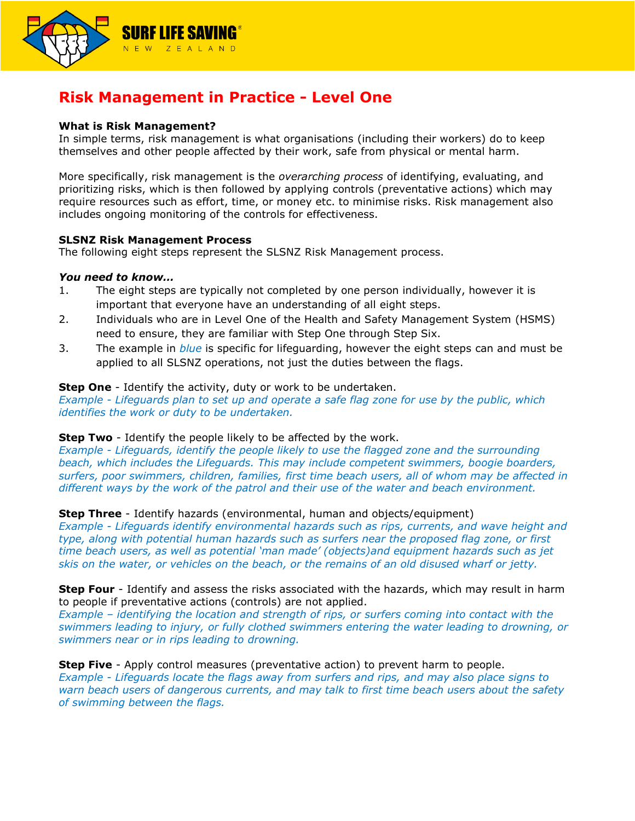

# **Risk Management in Practice - Level One**

# **What is Risk Management?**

In simple terms, risk management is what organisations (including their workers) do to keep themselves and other people affected by their work, safe from physical or mental harm.

More specifically, risk management is the *overarching process* of identifying, evaluating, and prioritizing risks, which is then followed by applying controls (preventative actions) which may require resources such as effort, time, or money etc. to minimise risks. Risk management also includes ongoing monitoring of the controls for effectiveness.

## **SLSNZ Risk Management Process**

The following eight steps represent the SLSNZ Risk Management process.

## *You need to know…*

- 1. The eight steps are typically not completed by one person individually, however it is important that everyone have an understanding of all eight steps.
- 2. Individuals who are in Level One of the Health and Safety Management System (HSMS) need to ensure, they are familiar with Step One through Step Six.
- 3. The example in *blue* is specific for lifeguarding, however the eight steps can and must be applied to all SLSNZ operations, not just the duties between the flags.

# **Step One** - Identify the activity, duty or work to be undertaken.

*Example - Lifeguards plan to set up and operate a safe flag zone for use by the public, which identifies the work or duty to be undertaken.* 

## **Step Two** - Identify the people likely to be affected by the work.

*Example - Lifeguards, identify the people likely to use the flagged zone and the surrounding beach, which includes the Lifeguards. This may include competent swimmers, boogie boarders, surfers, poor swimmers, children, families, first time beach users, all of whom may be affected in different ways by the work of the patrol and their use of the water and beach environment.* 

# **Step Three** - Identify hazards (environmental, human and objects/equipment)

*Example - Lifeguards identify environmental hazards such as rips, currents, and wave height and type, along with potential human hazards such as surfers near the proposed flag zone, or first time beach users, as well as potential 'man made' (objects)and equipment hazards such as jet skis on the water, or vehicles on the beach, or the remains of an old disused wharf or jetty.* 

**Step Four** - Identify and assess the risks associated with the hazards, which may result in harm to people if preventative actions (controls) are not applied.

*Example – identifying the location and strength of rips, or surfers coming into contact with the swimmers leading to injury, or fully clothed swimmers entering the water leading to drowning, or swimmers near or in rips leading to drowning.* 

**Step Five** - Apply control measures (preventative action) to prevent harm to people. *Example - Lifeguards locate the flags away from surfers and rips, and may also place signs to warn beach users of dangerous currents, and may talk to first time beach users about the safety of swimming between the flags.*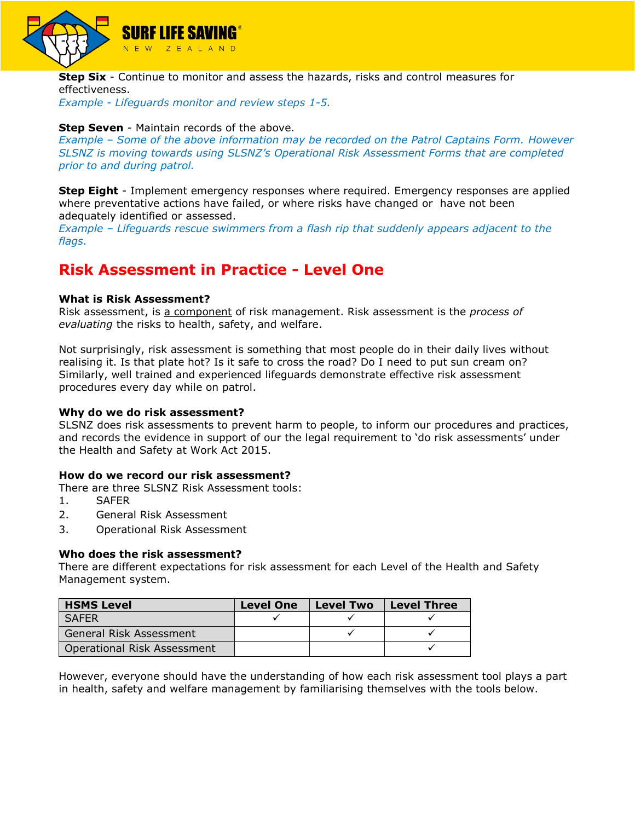

**Step Six** - Continue to monitor and assess the hazards, risks and control measures for effectiveness.

*Example - Lifeguards monitor and review steps 1-5.*

# **Step Seven** - Maintain records of the above.

*Example – Some of the above information may be recorded on the Patrol Captains Form. However SLSNZ is moving towards using SLSNZ's Operational Risk Assessment Forms that are completed prior to and during patrol.* 

**Step Eight** - Implement emergency responses where required. Emergency responses are applied where preventative actions have failed, or where risks have changed or have not been adequately identified or assessed.

*Example – Lifeguards rescue swimmers from a flash rip that suddenly appears adjacent to the flags.*

# **Risk Assessment in Practice - Level One**

## **What is Risk Assessment?**

Risk assessment, is a component of risk management. Risk assessment is the *process of evaluating* the risks to health, safety, and welfare.

Not surprisingly, risk assessment is something that most people do in their daily lives without realising it. Is that plate hot? Is it safe to cross the road? Do I need to put sun cream on? Similarly, well trained and experienced lifeguards demonstrate effective risk assessment procedures every day while on patrol.

#### **Why do we do risk assessment?**

SLSNZ does risk assessments to prevent harm to people, to inform our procedures and practices, and records the evidence in support of our the legal requirement to 'do risk assessments' under the Health and Safety at Work Act 2015.

## **How do we record our risk assessment?**

There are three SLSNZ Risk Assessment tools:

- 1. SAFER
- 2. General Risk Assessment
- 3. Operational Risk Assessment

### **Who does the risk assessment?**

There are different expectations for risk assessment for each Level of the Health and Safety Management system.

| <b>HSMS Level</b>                  | <b>Level One</b> | <b>Level Two</b> | <b>Level Three</b> |
|------------------------------------|------------------|------------------|--------------------|
| <b>SAFER</b>                       |                  |                  |                    |
| General Risk Assessment            |                  |                  |                    |
| <b>Operational Risk Assessment</b> |                  |                  |                    |

However, everyone should have the understanding of how each risk assessment tool plays a part in health, safety and welfare management by familiarising themselves with the tools below.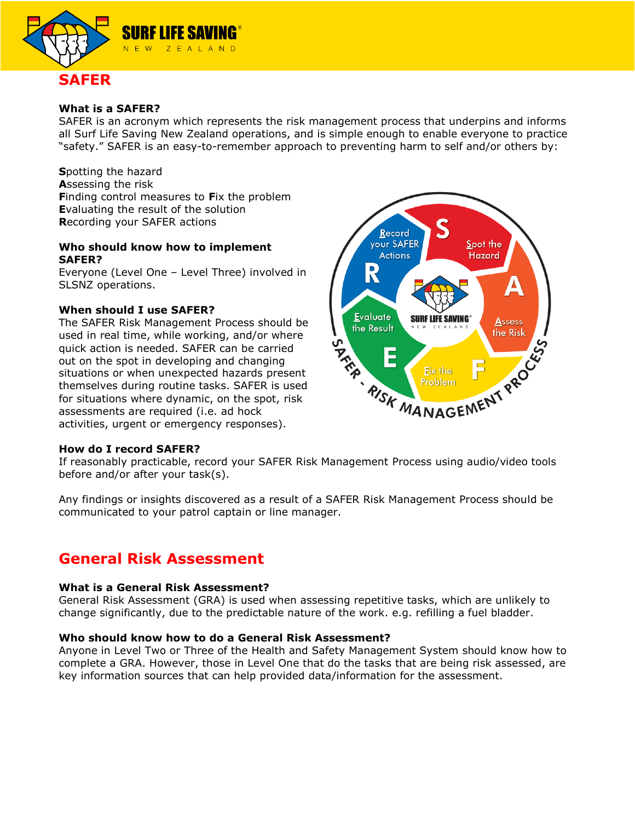

# **What is a SAFER?**

SAFER is an acronym which represents the risk management process that underpins and informs all Surf Life Saving New Zealand operations, and is simple enough to enable everyone to practice "safety." SAFER is an easy-to-remember approach to preventing harm to self and/or others by:

**S**potting the hazard **A**ssessing the risk **F**inding control measures to **F**ix the problem **E**valuating the result of the solution **R**ecording your SAFER actions

# **Who should know how to implement SAFER?**

Everyone (Level One – Level Three) involved in SLSNZ operations.

# **When should I use SAFER?**

The SAFER Risk Management Process should be used in real time, while working, and/or where quick action is needed. SAFER can be carried out on the spot in developing and changing situations or when unexpected hazards present themselves during routine tasks. SAFER is used for situations where dynamic, on the spot, risk assessments are required (i.e. ad hock activities, urgent or emergency responses).



## **How do I record SAFER?**

If reasonably practicable, record your SAFER Risk Management Process using audio/video tools before and/or after your task(s).

Any findings or insights discovered as a result of a SAFER Risk Management Process should be communicated to your patrol captain or line manager.

# **General Risk Assessment**

## **What is a General Risk Assessment?**

General Risk Assessment (GRA) is used when assessing repetitive tasks, which are unlikely to change significantly, due to the predictable nature of the work. e.g. refilling a fuel bladder.

## **Who should know how to do a General Risk Assessment?**

Anyone in Level Two or Three of the Health and Safety Management System should know how to complete a GRA. However, those in Level One that do the tasks that are being risk assessed, are key information sources that can help provided data/information for the assessment.